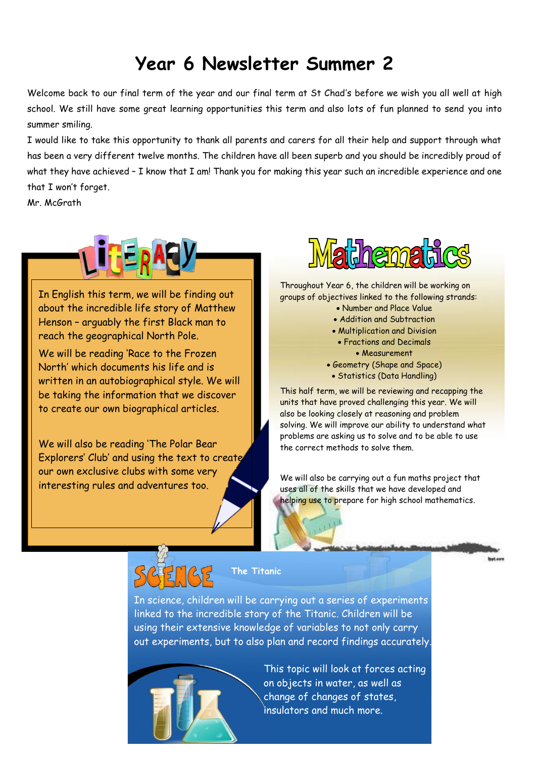## **Year 6 Newsletter Summer 2**

Welcome back to our final term of the year and our final term at St Chad's before we wish you all well at high school. We still have some great learning opportunities this term and also lots of fun planned to send you into summer smiling.

I would like to take this opportunity to thank all parents and carers for all their help and support through what has been a very different twelve months. The children have all been superb and you should be incredibly proud of what they have achieved - I know that I am! Thank you for making this year such an incredible experience and one that I won't forget.

Mr. McGrath



In English this term, we will be finding out about the incredible life story of Matthew Henson – arguably the first Black man to reach the geographical North Pole.

We will be reading 'Race to the Frozen North' which documents his life and is written in an autobiographical style. We will be taking the information that we discover to create our own biographical articles.

We will also be reading 'The Polar Bear Explorers' Club' and using the text to create our own exclusive clubs with some very interesting rules and adventures too.



Throughout Year 6, the children will be working on groups of objectives linked to the following strands:

- Number and Place Value
- Addition and Subtraction
- Multiplication and Division
- Fractions and Decimals
	- Measurement
- Geometry (Shape and Space)
- Statistics (Data Handling)

This half term, we will be reviewing and recapping the units that have proved challenging this year. We will also be looking closely at reasoning and problem solving. We will improve our ability to understand what problems are asking us to solve and to be able to use the correct methods to solve them.

We will also be carrying out a fun maths project that uses all of the skills that we have developed and helping use to prepare for high school mathematics.



**The Titanic**

In science, children will be carrying out a series of experiments linked to the incredible story of the Titanic. Children will be using their extensive knowledge of variables to not only carry out experiments, but to also plan and record findings accurately.



This topic will look at forces acting on objects in water, as well as change of changes of states, insulators and much more.